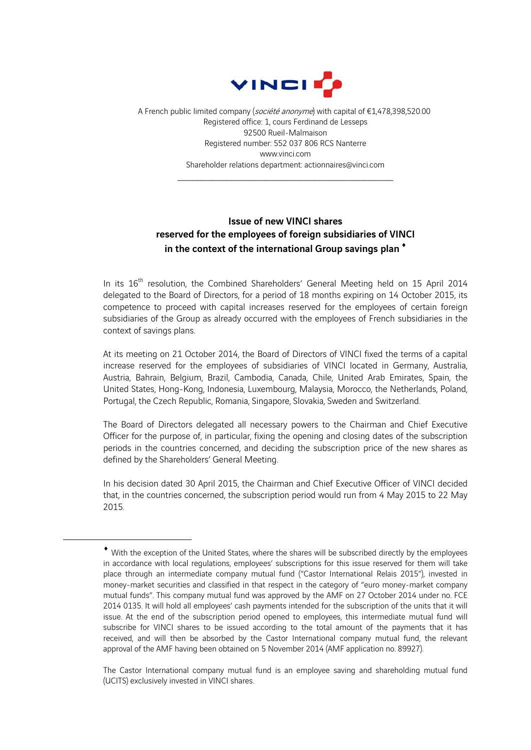

A French public limited company (société anonyme) with capital of €1,478,398,520.00 Registered office: 1, cours Ferdinand de Lesseps 92500 Rueil-Malmaison Registered number: 552 037 806 RCS Nanterre www.vinci.com Shareholder relations department: actionnaires@vinci.com

\_\_\_\_\_\_\_\_\_\_\_\_\_\_\_\_\_\_\_\_\_\_\_\_\_\_\_\_\_\_\_\_\_\_\_\_\_\_\_\_\_\_\_\_

## Issue of new VINCI shares reserved for the employees of foreign subsidiaries of VINCI in the context of the international Group savings plan<sup>\*</sup>

In its 16<sup>th</sup> resolution, the Combined Shareholders' General Meeting held on 15 April 2014 delegated to the Board of Directors, for a period of 18 months expiring on 14 October 2015, its competence to proceed with capital increases reserved for the employees of certain foreign subsidiaries of the Group as already occurred with the employees of French subsidiaries in the context of savings plans.

At its meeting on 21 October 2014, the Board of Directors of VINCI fixed the terms of a capital increase reserved for the employees of subsidiaries of VINCI located in Germany, Australia, Austria, Bahrain, Belgium, Brazil, Cambodia, Canada, Chile, United Arab Emirates, Spain, the United States, Hong-Kong, Indonesia, Luxembourg, Malaysia, Morocco, the Netherlands, Poland, Portugal, the Czech Republic, Romania, Singapore, Slovakia, Sweden and Switzerland.

The Board of Directors delegated all necessary powers to the Chairman and Chief Executive Officer for the purpose of, in particular, fixing the opening and closing dates of the subscription periods in the countries concerned, and deciding the subscription price of the new shares as defined by the Shareholders' General Meeting.

In his decision dated 30 April 2015, the Chairman and Chief Executive Officer of VINCI decided that, in the countries concerned, the subscription period would run from 4 May 2015 to 22 May 2015.

1

The Castor International company mutual fund is an employee saving and shareholding mutual fund (UCITS) exclusively invested in VINCI shares.

With the exception of the United States, where the shares will be subscribed directly by the employees in accordance with local regulations, employees' subscriptions for this issue reserved for them will take place through an intermediate company mutual fund ("Castor International Relais 2015"), invested in money-market securities and classified in that respect in the category of "euro money-market company mutual funds". This company mutual fund was approved by the AMF on 27 October 2014 under no. FCE 2014 0135. It will hold all employees' cash payments intended for the subscription of the units that it will issue. At the end of the subscription period opened to employees, this intermediate mutual fund will subscribe for VINCI shares to be issued according to the total amount of the payments that it has received, and will then be absorbed by the Castor International company mutual fund, the relevant approval of the AMF having been obtained on 5 November 2014 (AMF application no. 89927).